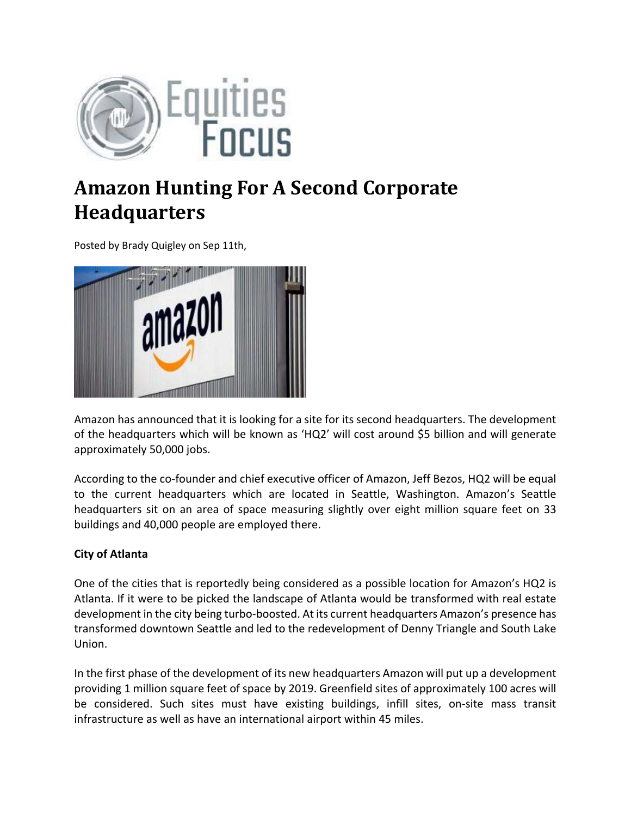

## **Amazon Hunting For A Second Corporate Headquarters**

Posted by Brady Quigley on Sep 11th,



Amazon has announced that it is looking for a site for its second headquarters. The development of the headquarters which will be known as 'HQ2' will cost around \$5 billion and will generate approximately 50,000 jobs.

According to the co‐founder and chief executive officer of Amazon, Jeff Bezos, HQ2 will be equal to the current headquarters which are located in Seattle, Washington. Amazon's Seattle headquarters sit on an area of space measuring slightly over eight million square feet on 33 buildings and 40,000 people are employed there.

## **City of Atlanta**

One of the cities that is reportedly being considered as a possible location for Amazon's HQ2 is Atlanta. If it were to be picked the landscape of Atlanta would be transformed with real estate development in the city being turbo-boosted. At its current headquarters Amazon's presence has transformed downtown Seattle and led to the redevelopment of Denny Triangle and South Lake Union.

In the first phase of the development of its new headquarters Amazon will put up a development providing 1 million square feet of space by 2019. Greenfield sites of approximately 100 acres will be considered. Such sites must have existing buildings, infill sites, on-site mass transit infrastructure as well as have an international airport within 45 miles.